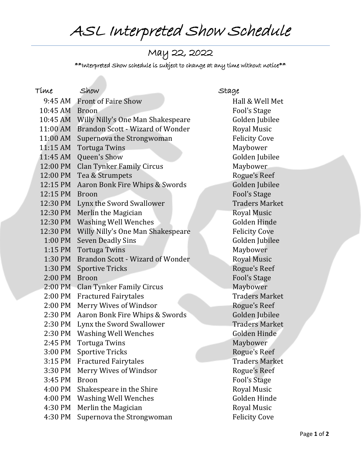ASL Interpreted Show Schedule

## May 22, 2022

 $**$ Interpreted Show schedule is subject to change at any time without notice $**$ 

| Tíme      | Show                              | Stage                 |
|-----------|-----------------------------------|-----------------------|
|           | 9:45 AM Front of Faire Show       | Hall & Well Met       |
| 10:45 AM  | <b>Broon</b>                      | <b>Fool's Stage</b>   |
| 10:45 AM  | Willy Nilly's One Man Shakespeare | Golden Jubilee        |
| 11:00 AM  | Brandon Scott - Wizard of Wonder  | Royal Music           |
| 11:00 AM  | Supernova the Strongwoman         | <b>Felicity Cove</b>  |
| 11:15 AM  | <b>Tortuga Twins</b>              | Maybower              |
| 11:45 AM  | Queen's Show                      | Golden Jubilee        |
| 12:00 PM  | <b>Clan Tynker Family Circus</b>  | Maybower              |
| 12:00 PM  | Tea & Strumpets                   | Rogue's Reef          |
| 12:15 PM  | Aaron Bonk Fire Whips & Swords    | Golden Jubilee        |
| 12:15 PM  | <b>Broon</b>                      | <b>Fool's Stage</b>   |
| 12:30 PM  | Lynx the Sword Swallower          | <b>Traders Market</b> |
| 12:30 PM  | Merlin the Magician               | Royal Music           |
| 12:30 PM  | <b>Washing Well Wenches</b>       | Golden Hinde          |
| 12:30 PM  | Willy Nilly's One Man Shakespeare | <b>Felicity Cove</b>  |
| $1:00$ PM | <b>Seven Deadly Sins</b>          | Golden Jubilee        |
| 1:15 PM   | <b>Tortuga Twins</b>              | Maybower              |
| 1:30 PM   | Brandon Scott - Wizard of Wonder  | <b>Royal Music</b>    |
| 1:30 PM   | <b>Sportive Tricks</b>            | Rogue's Reef          |
| 2:00 PM   | <b>Broon</b>                      | <b>Fool's Stage</b>   |
| 2:00 PM   | <b>Clan Tynker Family Circus</b>  | Maybower              |
| 2:00 PM   | <b>Fractured Fairytales</b>       | <b>Traders Market</b> |
| 2:00 PM   | Merry Wives of Windsor            | Rogue's Reef          |
| 2:30 PM   | Aaron Bonk Fire Whips & Swords    | Golden Jubilee        |
| 2:30 PM   | Lynx the Sword Swallower          | <b>Traders Market</b> |
| 2:30 PM   | <b>Washing Well Wenches</b>       | Golden Hinde          |
| 2:45 PM   | <b>Tortuga Twins</b>              | Maybower              |
| 3:00 PM   | <b>Sportive Tricks</b>            | Rogue's Reef          |
| $3:15$ PM | <b>Fractured Fairytales</b>       | <b>Traders Market</b> |
| 3:30 PM   | Merry Wives of Windsor            | Rogue's Reef          |
| 3:45 PM   | <b>Broon</b>                      | Fool's Stage          |
| 4:00 PM   | Shakespeare in the Shire          | <b>Royal Music</b>    |
| 4:00 PM   | <b>Washing Well Wenches</b>       | Golden Hinde          |
| 4:30 PM   | Merlin the Magician               | <b>Royal Music</b>    |
| 4:30 PM   | Supernova the Strongwoman         | <b>Felicity Cove</b>  |